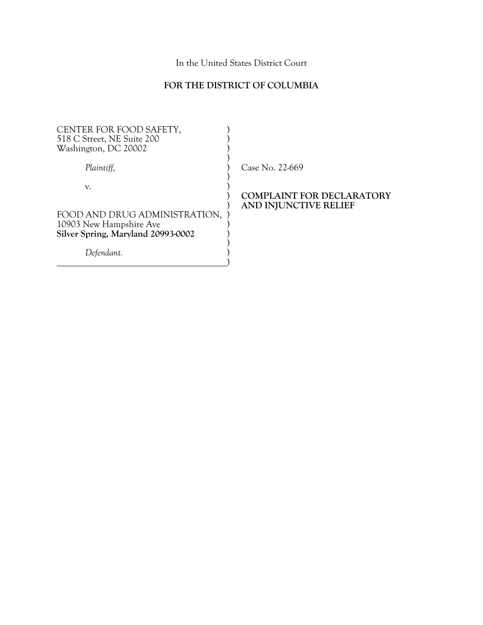In the United States District Court

# **FOR THE DISTRICT OF COLUMBIA**

| CENTER FOR FOOD SAFETY,<br>518 C Street, NE Suite 200<br>Washington, DC 20002                                      |                                                    |
|--------------------------------------------------------------------------------------------------------------------|----------------------------------------------------|
| Plaintiff,                                                                                                         | Case No. 22-669                                    |
| V.<br>FOOD AND DRUG ADMINISTRATION,<br>10903 New Hampshire Ave<br>Silver Spring, Maryland 20993-0002<br>Defendant. | COMPLAINT FOR DECLARATORY<br>AND INJUNCTIVE RELIEF |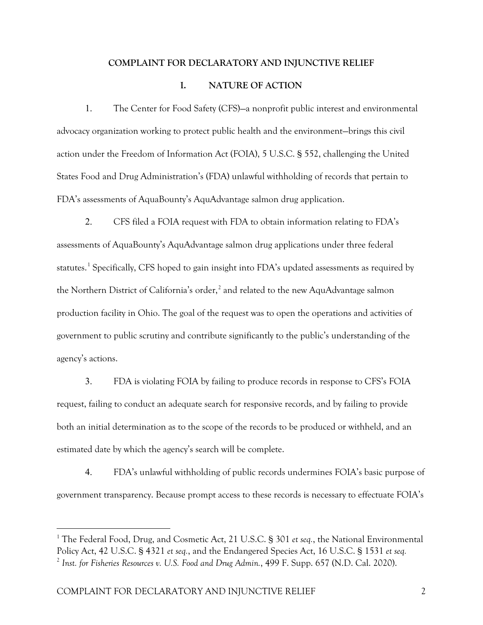### **COMPLAINT FOR DECLARATORY AND INJUNCTIVE RELIEF**

### **I. NATURE OF ACTION**

1. The Center for Food Safety (CFS)—a nonprofit public interest and environmental advocacy organization working to protect public health and the environment—brings this civil action under the Freedom of Information Act (FOIA), 5 U.S.C. § 552, challenging the United States Food and Drug Administration's (FDA) unlawful withholding of records that pertain to FDA's assessments of AquaBounty's AquAdvantage salmon drug application.

2. CFS filed a FOIA request with FDA to obtain information relating to FDA's assessments of AquaBounty's AquAdvantage salmon drug applications under three federal statutes. [1](#page-1-0) Specifically, CFS hoped to gain insight into FDA's updated assessments as required by the Northern District of California's order, $<sup>2</sup>$  $<sup>2</sup>$  $<sup>2</sup>$  and related to the new AquAdvantage salmon</sup> production facility in Ohio. The goal of the request was to open the operations and activities of government to public scrutiny and contribute significantly to the public's understanding of the agency's actions.

3. FDA is violating FOIA by failing to produce records in response to CFS's FOIA request, failing to conduct an adequate search for responsive records, and by failing to provide both an initial determination as to the scope of the records to be produced or withheld, and an estimated date by which the agency's search will be complete.

4. FDA's unlawful withholding of public records undermines FOIA's basic purpose of government transparency. Because prompt access to these records is necessary to effectuate FOIA's

<span id="page-1-1"></span><span id="page-1-0"></span><sup>&</sup>lt;sup>1</sup> The Federal Food, Drug, and Cosmetic Act, 21 U.S.C. § 301 *et seq.*, the National Environmental Policy Act, 42 U.S.C. § 4321 *et seq.*, and the Endangered Species Act, 16 U.S.C. § 1531 *et seq.* <sup>2</sup> *Inst. for Fisheries Resources v. U.S. Food and Drug Admin.*, 499 F. Supp. 657 (N.D. Cal. 2020).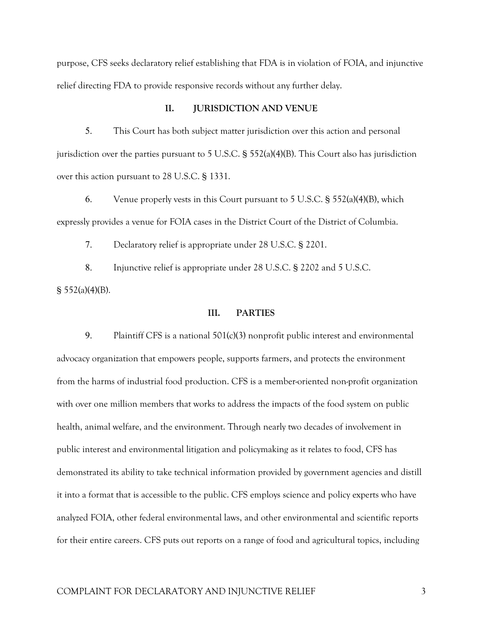purpose, CFS seeks declaratory relief establishing that FDA is in violation of FOIA, and injunctive relief directing FDA to provide responsive records without any further delay.

### **II. JURISDICTION AND VENUE**

5. This Court has both subject matter jurisdiction over this action and personal jurisdiction over the parties pursuant to 5 U.S.C.  $\S$  552(a)(4)(B). This Court also has jurisdiction over this action pursuant to 28 U.S.C. § 1331.

6. Venue properly vests in this Court pursuant to 5 U.S.C. § 552(a)(4)(B), which expressly provides a venue for FOIA cases in the District Court of the District of Columbia.

7. Declaratory relief is appropriate under 28 U.S.C. § 2201.

8. Injunctive relief is appropriate under 28 U.S.C. § 2202 and 5 U.S.C. § 552(a)(4)(B).

#### **III. PARTIES**

9. Plaintiff CFS is a national 501(c)(3) nonprofit public interest and environmental advocacy organization that empowers people, supports farmers, and protects the environment from the harms of industrial food production. CFS is a member-oriented non-profit organization with over one million members that works to address the impacts of the food system on public health, animal welfare, and the environment. Through nearly two decades of involvement in public interest and environmental litigation and policymaking as it relates to food, CFS has demonstrated its ability to take technical information provided by government agencies and distill it into a format that is accessible to the public. CFS employs science and policy experts who have analyzed FOIA, other federal environmental laws, and other environmental and scientific reports for their entire careers. CFS puts out reports on a range of food and agricultural topics, including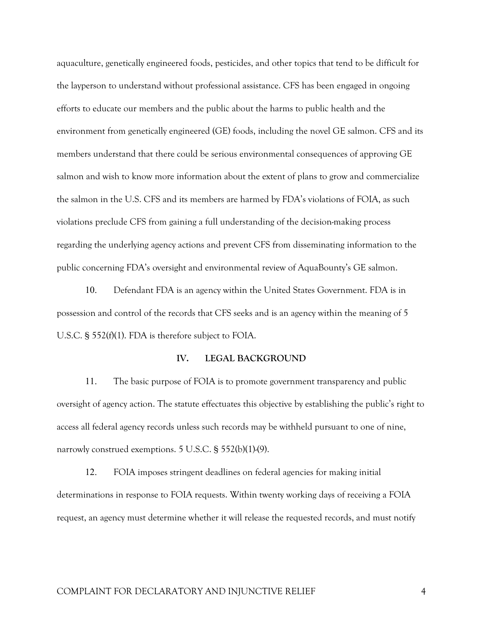aquaculture, genetically engineered foods, pesticides, and other topics that tend to be difficult for the layperson to understand without professional assistance. CFS has been engaged in ongoing efforts to educate our members and the public about the harms to public health and the environment from genetically engineered (GE) foods, including the novel GE salmon. CFS and its members understand that there could be serious environmental consequences of approving GE salmon and wish to know more information about the extent of plans to grow and commercialize the salmon in the U.S. CFS and its members are harmed by FDA's violations of FOIA, as such violations preclude CFS from gaining a full understanding of the decision-making process regarding the underlying agency actions and prevent CFS from disseminating information to the public concerning FDA's oversight and environmental review of AquaBounty's GE salmon.

10. Defendant FDA is an agency within the United States Government. FDA is in possession and control of the records that CFS seeks and is an agency within the meaning of 5 U.S.C. § 552(f)(1). FDA is therefore subject to FOIA.

#### **IV. LEGAL BACKGROUND**

11. The basic purpose of FOIA is to promote government transparency and public oversight of agency action. The statute effectuates this objective by establishing the public's right to access all federal agency records unless such records may be withheld pursuant to one of nine, narrowly construed exemptions. 5 U.S.C. § 552(b)(1)-(9).

12. FOIA imposes stringent deadlines on federal agencies for making initial determinations in response to FOIA requests. Within twenty working days of receiving a FOIA request, an agency must determine whether it will release the requested records, and must notify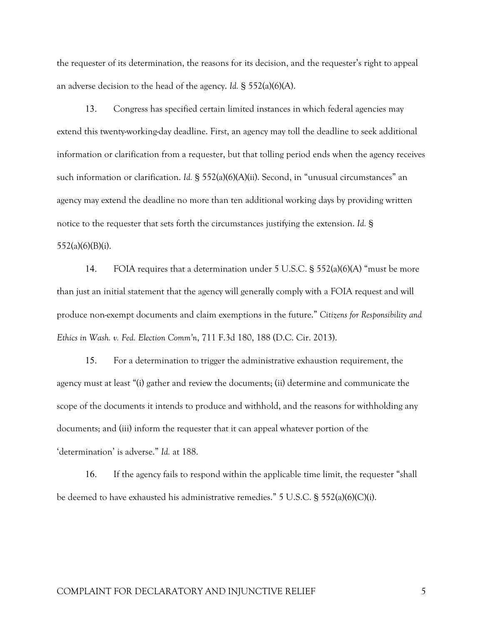the requester of its determination, the reasons for its decision, and the requester's right to appeal an adverse decision to the head of the agency. *Id.* § 552(a)(6)(A).

13. Congress has specified certain limited instances in which federal agencies may extend this twenty-working-day deadline. First, an agency may toll the deadline to seek additional information or clarification from a requester, but that tolling period ends when the agency receives such information or clarification. *Id.* § 552(a)(6)(A)(ii). Second, in "unusual circumstances" an agency may extend the deadline no more than ten additional working days by providing written notice to the requester that sets forth the circumstances justifying the extension. *Id.* § 552(a)(6)(B)(i).

14. FOIA requires that a determination under 5 U.S.C. § 552(a)(6)(A) "must be more than just an initial statement that the agency will generally comply with a FOIA request and will produce non-exempt documents and claim exemptions in the future." *Citizens for Responsibility and Ethics in Wash. v. Fed. Election Comm'n*, 711 F.3d 180, 188 (D.C. Cir. 2013).

15. For a determination to trigger the administrative exhaustion requirement, the agency must at least "(i) gather and review the documents; (ii) determine and communicate the scope of the documents it intends to produce and withhold, and the reasons for withholding any documents; and (iii) inform the requester that it can appeal whatever portion of the 'determination' is adverse." *Id.* at 188.

16. If the agency fails to respond within the applicable time limit, the requester "shall be deemed to have exhausted his administrative remedies." 5 U.S.C. § 552(a)(6)(C)(i).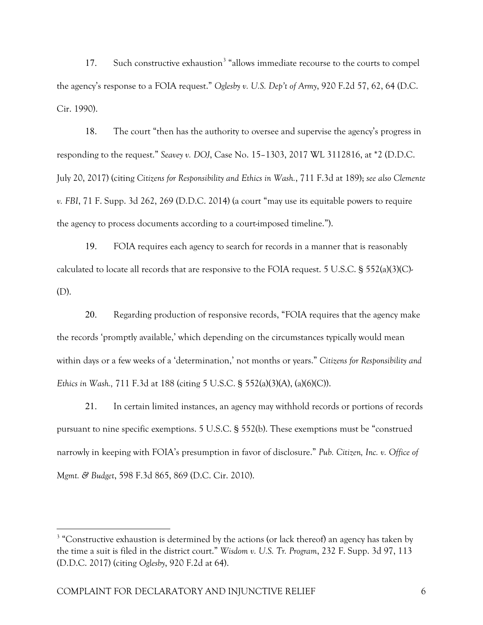17. Such constructive exhaustion<sup>[3](#page-5-0)</sup> "allows immediate recourse to the courts to compel the agency's response to a FOIA request." *Oglesby v. U.S. Dep't of Army*, 920 F.2d 57, 62, 64 (D.C. Cir. 1990).

18. The court "then has the authority to oversee and supervise the agency's progress in responding to the request." *Seavey v. DOJ*, Case No. 15–1303, 2017 WL 3112816, at \*2 (D.D.C. July 20, 2017) (citing *Citizens for Responsibility and Ethics in Wash.*, 711 F.3d at 189); *see also Clemente v. FBI*, 71 F. Supp. 3d 262, 269 (D.D.C. 2014) (a court "may use its equitable powers to require the agency to process documents according to a court-imposed timeline.").

19. FOIA requires each agency to search for records in a manner that is reasonably calculated to locate all records that are responsive to the FOIA request. 5 U.S.C. § 552(a)(3)(C)- (D).

20. Regarding production of responsive records, "FOIA requires that the agency make the records 'promptly available,' which depending on the circumstances typically would mean within days or a few weeks of a 'determination,' not months or years." *Citizens for Responsibility and Ethics in Wash.,* 711 F.3d at 188 (citing 5 U.S.C. § 552(a)(3)(A), (a)(6)(C)).

21. In certain limited instances, an agency may withhold records or portions of records pursuant to nine specific exemptions. 5 U.S.C. § 552(b). These exemptions must be "construed narrowly in keeping with FOIA's presumption in favor of disclosure." *Pub. Citizen, Inc. v. Office of Mgmt. & Budget*, 598 F.3d 865, 869 (D.C. Cir. 2010).

<span id="page-5-0"></span><sup>&</sup>lt;sup>3</sup> "Constructive exhaustion is determined by the actions (or lack thereof) an agency has taken by the time a suit is filed in the district court." *Wisdom v. U.S. Tr. Program*, 232 F. Supp. 3d 97, 113 (D.D.C. 2017) (citing *Oglesby*, 920 F.2d at 64).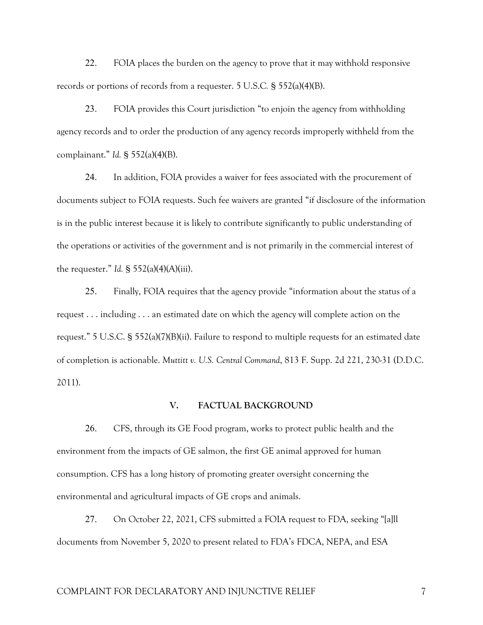22. FOIA places the burden on the agency to prove that it may withhold responsive records or portions of records from a requester. 5 U.S.C*.* § 552(a)(4)(B).

23. FOIA provides this Court jurisdiction "to enjoin the agency from withholding agency records and to order the production of any agency records improperly withheld from the complainant." *Id.* § 552(a)(4)(B).

24. In addition, FOIA provides a waiver for fees associated with the procurement of documents subject to FOIA requests. Such fee waivers are granted "if disclosure of the information is in the public interest because it is likely to contribute significantly to public understanding of the operations or activities of the government and is not primarily in the commercial interest of the requester." *Id.*  $\frac{1}{2}$  552(a)(4)(A)(iii).

25. Finally, FOIA requires that the agency provide "information about the status of a request . . . including . . . an estimated date on which the agency will complete action on the request." 5 U.S.C. § 552(a)(7)(B)(ii). Failure to respond to multiple requests for an estimated date of completion is actionable. *Muttitt v. U.S. Central Command*, 813 F. Supp. 2d 221, 230-31 (D.D.C. 2011).

## **V. FACTUAL BACKGROUND**

26. CFS, through its GE Food program, works to protect public health and the environment from the impacts of GE salmon, the first GE animal approved for human consumption. CFS has a long history of promoting greater oversight concerning the environmental and agricultural impacts of GE crops and animals.

27. On October 22, 2021, CFS submitted a FOIA request to FDA, seeking "[a]ll documents from November 5, 2020 to present related to FDA's FDCA, NEPA, and ESA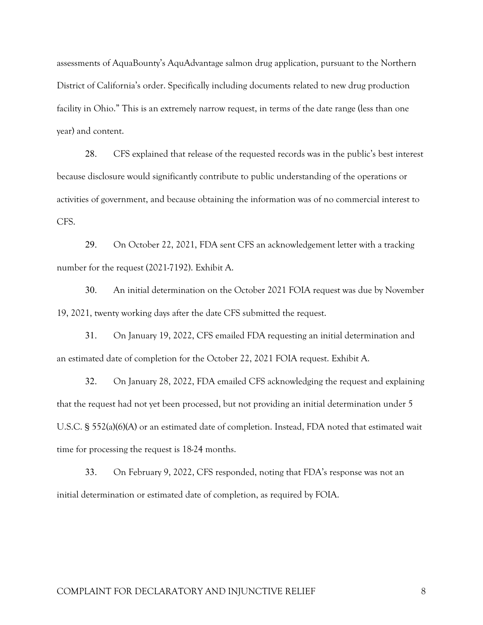assessments of AquaBounty's AquAdvantage salmon drug application, pursuant to the Northern District of California's order. Specifically including documents related to new drug production facility in Ohio." This is an extremely narrow request, in terms of the date range (less than one year) and content.

28. CFS explained that release of the requested records was in the public's best interest because disclosure would significantly contribute to public understanding of the operations or activities of government, and because obtaining the information was of no commercial interest to CFS.

29. On October 22, 2021, FDA sent CFS an acknowledgement letter with a tracking number for the request (2021-7192). Exhibit A.

30. An initial determination on the October 2021 FOIA request was due by November 19, 2021, twenty working days after the date CFS submitted the request.

31. On January 19, 2022, CFS emailed FDA requesting an initial determination and an estimated date of completion for the October 22, 2021 FOIA request. Exhibit A.

32. On January 28, 2022, FDA emailed CFS acknowledging the request and explaining that the request had not yet been processed, but not providing an initial determination under 5 U.S.C. § 552(a)(6)(A) or an estimated date of completion. Instead, FDA noted that estimated wait time for processing the request is 18-24 months.

33. On February 9, 2022, CFS responded, noting that FDA's response was not an initial determination or estimated date of completion, as required by FOIA.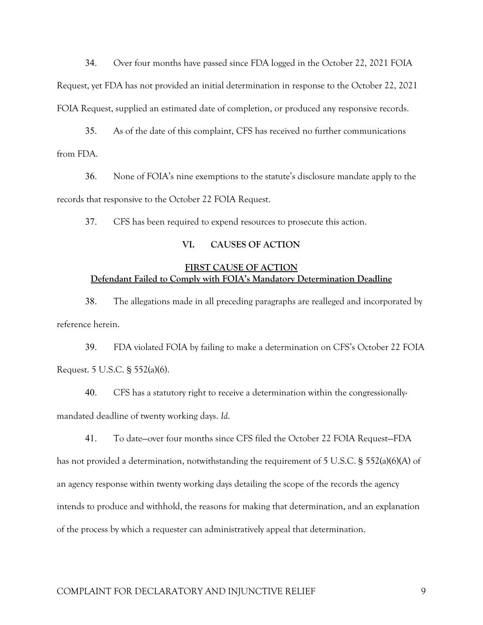34. Over four months have passed since FDA logged in the October 22, 2021 FOIA Request, yet FDA has not provided an initial determination in response to the October 22, 2021 FOIA Request, supplied an estimated date of completion, or produced any responsive records.

35. As of the date of this complaint, CFS has received no further communications from FDA.

36. None of FOIA's nine exemptions to the statute's disclosure mandate apply to the records that responsive to the October 22 FOIA Request.

37. CFS has been required to expend resources to prosecute this action.

### **VI. CAUSES OF ACTION**

## **FIRST CAUSE OF ACTION Defendant Failed to Comply with FOIA's Mandatory Determination Deadline**

38. The allegations made in all preceding paragraphs are realleged and incorporated by reference herein.

39. FDA violated FOIA by failing to make a determination on CFS's October 22 FOIA Request. 5 U.S.C. § 552(a)(6).

40. CFS has a statutory right to receive a determination within the congressionallymandated deadline of twenty working days. *Id*.

41. To date—over four months since CFS filed the October 22 FOIA Request—FDA has not provided a determination, notwithstanding the requirement of 5 U.S.C. § 552(a)(6)(A) of an agency response within twenty working days detailing the scope of the records the agency intends to produce and withhold, the reasons for making that determination, and an explanation of the process by which a requester can administratively appeal that determination.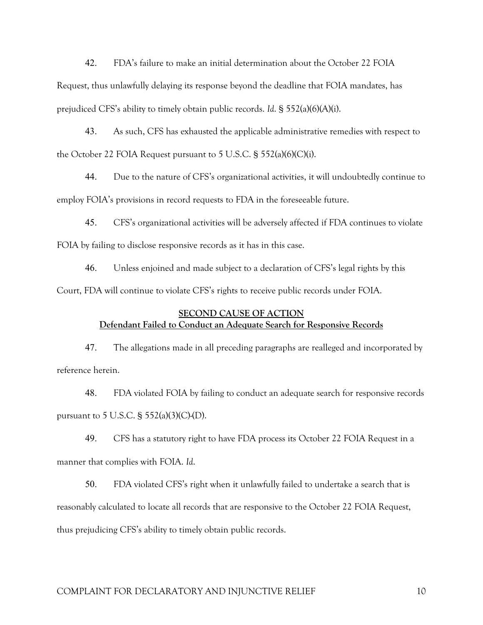42. FDA's failure to make an initial determination about the October 22 FOIA Request, thus unlawfully delaying its response beyond the deadline that FOIA mandates, has prejudiced CFS's ability to timely obtain public records. *Id*. § 552(a)(6)(A)(i).

43. As such, CFS has exhausted the applicable administrative remedies with respect to the October 22 FOIA Request pursuant to 5 U.S.C. § 552(a)(6)(C)(i).

44. Due to the nature of CFS's organizational activities, it will undoubtedly continue to employ FOIA's provisions in record requests to FDA in the foreseeable future.

45. CFS's organizational activities will be adversely affected if FDA continues to violate FOIA by failing to disclose responsive records as it has in this case.

46. Unless enjoined and made subject to a declaration of CFS's legal rights by this Court, FDA will continue to violate CFS's rights to receive public records under FOIA.

## **SECOND CAUSE OF ACTION Defendant Failed to Conduct an Adequate Search for Responsive Records**

47. The allegations made in all preceding paragraphs are realleged and incorporated by reference herein.

48. FDA violated FOIA by failing to conduct an adequate search for responsive records pursuant to 5 U.S.C.  $\S$  552(a)(3)(C)-(D).

49. CFS has a statutory right to have FDA process its October 22 FOIA Request in a manner that complies with FOIA. *Id*.

50. FDA violated CFS's right when it unlawfully failed to undertake a search that is reasonably calculated to locate all records that are responsive to the October 22 FOIA Request, thus prejudicing CFS's ability to timely obtain public records.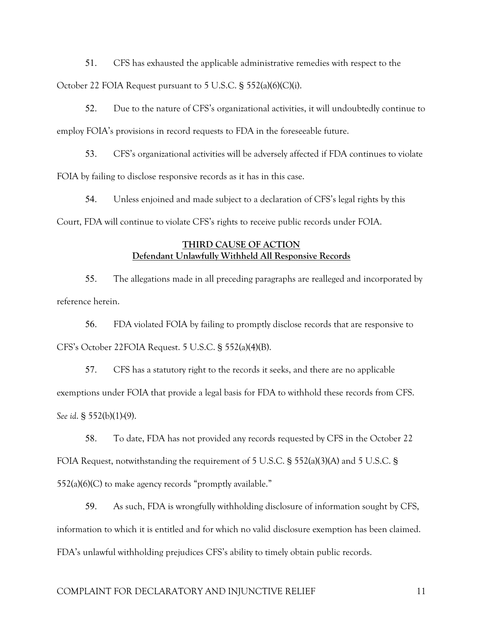51. CFS has exhausted the applicable administrative remedies with respect to the October 22 FOIA Request pursuant to 5 U.S.C. § 552(a)(6)(C)(i).

52. Due to the nature of CFS's organizational activities, it will undoubtedly continue to employ FOIA's provisions in record requests to FDA in the foreseeable future.

53. CFS's organizational activities will be adversely affected if FDA continues to violate FOIA by failing to disclose responsive records as it has in this case.

54. Unless enjoined and made subject to a declaration of CFS's legal rights by this Court, FDA will continue to violate CFS's rights to receive public records under FOIA.

## **THIRD CAUSE OF ACTION Defendant Unlawfully Withheld All Responsive Records**

55. The allegations made in all preceding paragraphs are realleged and incorporated by reference herein.

56. FDA violated FOIA by failing to promptly disclose records that are responsive to CFS's October 22FOIA Request. 5 U.S.C. § 552(a)(4)(B).

57. CFS has a statutory right to the records it seeks, and there are no applicable exemptions under FOIA that provide a legal basis for FDA to withhold these records from CFS. *See id*. § 552(b)(1)-(9).

58. To date, FDA has not provided any records requested by CFS in the October 22 FOIA Request, notwithstanding the requirement of 5 U.S.C. § 552(a)(3)(A) and 5 U.S.C. §  $552(a)(6)(C)$  to make agency records "promptly available."

59. As such, FDA is wrongfully withholding disclosure of information sought by CFS, information to which it is entitled and for which no valid disclosure exemption has been claimed. FDA's unlawful withholding prejudices CFS's ability to timely obtain public records.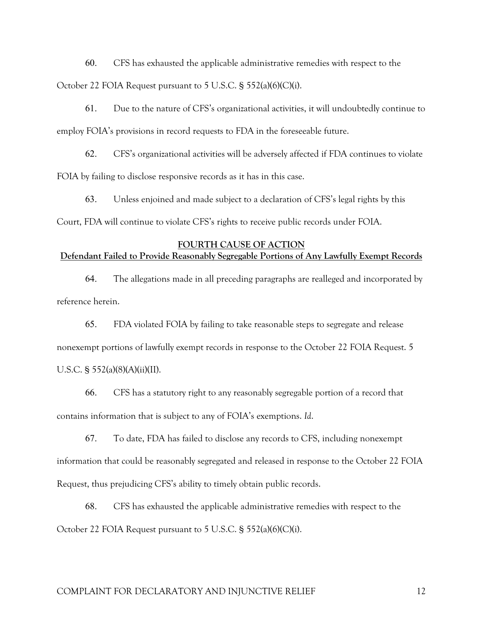60. CFS has exhausted the applicable administrative remedies with respect to the October 22 FOIA Request pursuant to 5 U.S.C. § 552(a)(6)(C)(i).

61. Due to the nature of CFS's organizational activities, it will undoubtedly continue to employ FOIA's provisions in record requests to FDA in the foreseeable future.

62. CFS's organizational activities will be adversely affected if FDA continues to violate FOIA by failing to disclose responsive records as it has in this case.

63. Unless enjoined and made subject to a declaration of CFS's legal rights by this Court, FDA will continue to violate CFS's rights to receive public records under FOIA.

### **FOURTH CAUSE OF ACTION**

## **Defendant Failed to Provide Reasonably Segregable Portions of Any Lawfully Exempt Records**

64. The allegations made in all preceding paragraphs are realleged and incorporated by reference herein.

65. FDA violated FOIA by failing to take reasonable steps to segregate and release nonexempt portions of lawfully exempt records in response to the October 22 FOIA Request. 5 U.S.C. § 552(a)(8)(A)(ii)(II).

66. CFS has a statutory right to any reasonably segregable portion of a record that contains information that is subject to any of FOIA's exemptions. *Id*.

67. To date, FDA has failed to disclose any records to CFS, including nonexempt information that could be reasonably segregated and released in response to the October 22 FOIA Request, thus prejudicing CFS's ability to timely obtain public records.

68. CFS has exhausted the applicable administrative remedies with respect to the October 22 FOIA Request pursuant to 5 U.S.C. § 552(a)(6)(C)(i).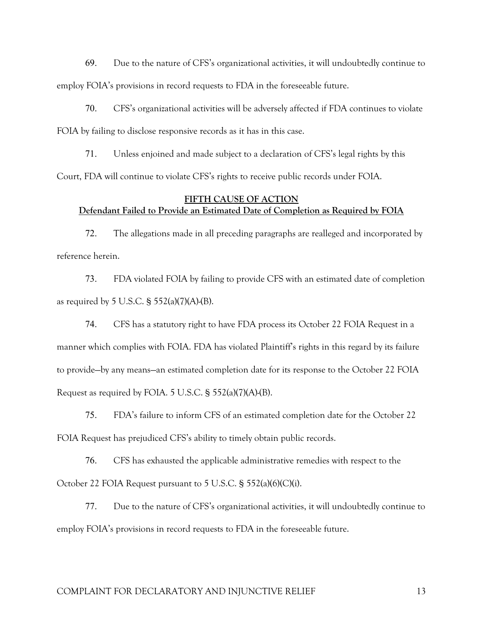69. Due to the nature of CFS's organizational activities, it will undoubtedly continue to employ FOIA's provisions in record requests to FDA in the foreseeable future.

70. CFS's organizational activities will be adversely affected if FDA continues to violate FOIA by failing to disclose responsive records as it has in this case.

71. Unless enjoined and made subject to a declaration of CFS's legal rights by this Court, FDA will continue to violate CFS's rights to receive public records under FOIA.

### **FIFTH CAUSE OF ACTION Defendant Failed to Provide an Estimated Date of Completion as Required by FOIA**

72. The allegations made in all preceding paragraphs are realleged and incorporated by reference herein.

73. FDA violated FOIA by failing to provide CFS with an estimated date of completion as required by 5 U.S.C.  $\S$  552(a)(7)(A)-(B).

74. CFS has a statutory right to have FDA process its October 22 FOIA Request in a manner which complies with FOIA. FDA has violated Plaintiff's rights in this regard by its failure to provide—by any means—an estimated completion date for its response to the October 22 FOIA Request as required by FOIA. 5 U.S.C. § 552(a)(7)(A)-(B).

75. FDA's failure to inform CFS of an estimated completion date for the October 22 FOIA Request has prejudiced CFS's ability to timely obtain public records.

76. CFS has exhausted the applicable administrative remedies with respect to the October 22 FOIA Request pursuant to 5 U.S.C. § 552(a)(6)(C)(i).

77. Due to the nature of CFS's organizational activities, it will undoubtedly continue to employ FOIA's provisions in record requests to FDA in the foreseeable future.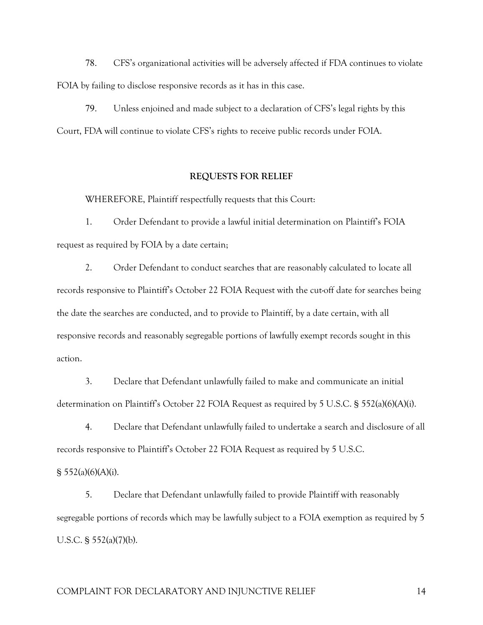78. CFS's organizational activities will be adversely affected if FDA continues to violate FOIA by failing to disclose responsive records as it has in this case.

79. Unless enjoined and made subject to a declaration of CFS's legal rights by this Court, FDA will continue to violate CFS's rights to receive public records under FOIA.

#### **REQUESTS FOR RELIEF**

WHEREFORE, Plaintiff respectfully requests that this Court:

1. Order Defendant to provide a lawful initial determination on Plaintiff's FOIA request as required by FOIA by a date certain;

2. Order Defendant to conduct searches that are reasonably calculated to locate all records responsive to Plaintiff's October 22 FOIA Request with the cut-off date for searches being the date the searches are conducted, and to provide to Plaintiff, by a date certain, with all responsive records and reasonably segregable portions of lawfully exempt records sought in this action.

3. Declare that Defendant unlawfully failed to make and communicate an initial determination on Plaintiff's October 22 FOIA Request as required by 5 U.S.C. § 552(a)(6)(A)(i).

4. Declare that Defendant unlawfully failed to undertake a search and disclosure of all records responsive to Plaintiff's October 22 FOIA Request as required by 5 U.S.C.

 $§ 552(a)(6)(A)(i).$ 

5. Declare that Defendant unlawfully failed to provide Plaintiff with reasonably segregable portions of records which may be lawfully subject to a FOIA exemption as required by 5 U.S.C. § 552(a)(7)(b).